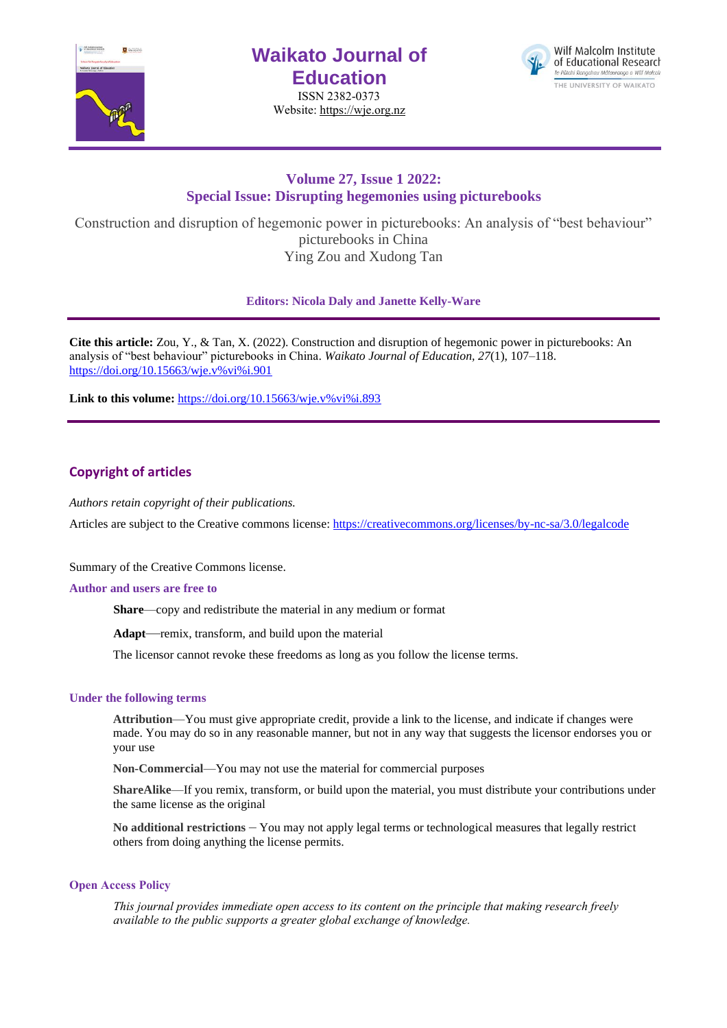

# **Waikato Journal of Education**

ISSN 2382-0373 Website[: https://wje.org.nz](https://wje.org.nz/)



# **Volume 27, Issue 1 2022: Special Issue: Disrupting hegemonies using picturebooks**

Construction and disruption of hegemonic power in picturebooks: An analysis of "best behaviour" picturebooks in China Ying Zou and Xudong Tan

# **Editors: Nicola Daly and Janette Kelly-Ware**

**Cite this article:** Zou, Y., & Tan, X. (2022). Construction and disruption of hegemonic power in picturebooks: An analysis of "best behaviour" picturebooks in China. *Waikato Journal of Education, 27*(1), 107–118. [https://doi.org/10.15663/wje.v%vi%i.901](https://doi.org/10.15663/wje.v%25vi%25i.901) 

Link to this volume: [https://doi.org/10.15663/wje.v%vi%i.893](https://doi.org/10.15663/wje.v%25vi%25i.893)

# **Copyright of articles**

*Authors retain copyright of their publications.*

Articles are subject to the Creative commons license: https://creativecommons.org/licenses/by-nc-sa/3.0/legalcode

Summary of the Creative Commons license.

### **Author and users are free to**

**Share**—copy and redistribute the material in any medium or format

**Adapt**—remix, transform, and build upon the material

The licensor cannot revoke these freedoms as long as you follow the license terms.

# **Under the following terms**

**Attribution**—You must give appropriate credit, provide a link to the license, and indicate if changes were made. You may do so in any reasonable manner, but not in any way that suggests the licensor endorses you or your use

**Non-Commercial**—You may not use the material for commercial purposes

**ShareAlike**—If you remix, transform, or build upon the material, you must distribute your contributions under the same license as the original

**No additional restrictions** – You may not apply legal terms or technological measures that legally restrict others from doing anything the license permits.

### **Open Access Policy**

*This journal provides immediate open access to its content on the principle that making research freely available to the public supports a greater global exchange of knowledge.*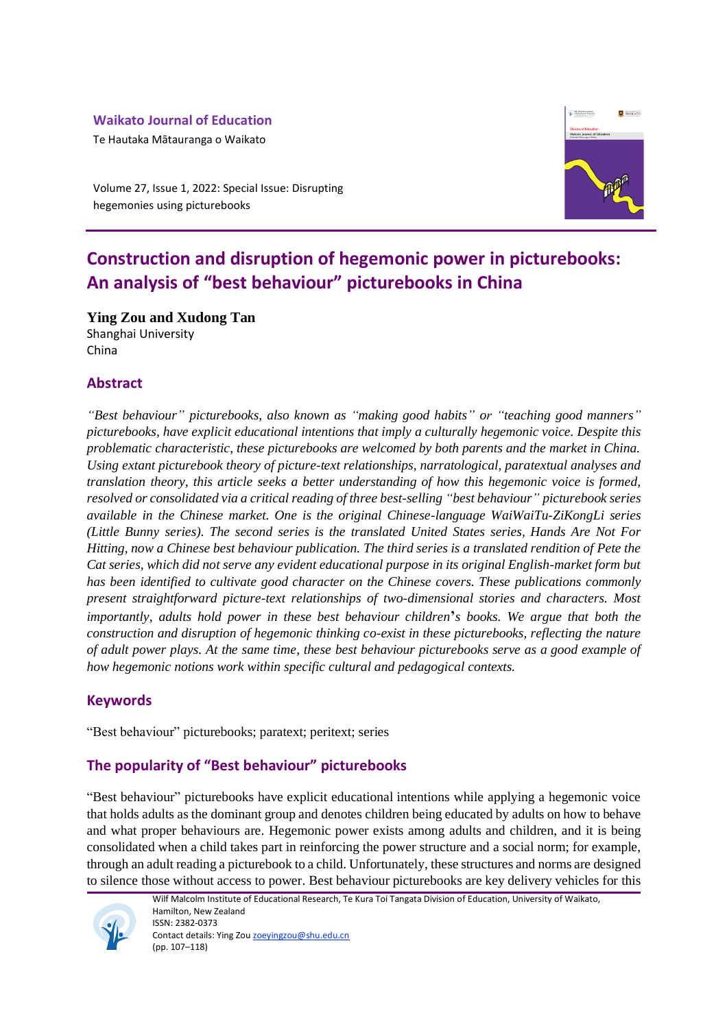# **Waikato Journal of Education**

Te Hautaka Mātauranga o Waikato

Volume 27, Issue 1, 2022: Special Issue: Disrupting hegemonies using picturebooks



# **Construction and disruption of hegemonic power in picturebooks: An analysis of "best behaviour" picturebooks in China**

**Ying Zou and Xudong Tan** Shanghai University

# **Abstract**

China

*"Best behaviour" picturebooks, also known as "making good habits" or "teaching good manners" picturebooks, have explicit educational intentions that imply a culturally hegemonic voice. Despite this problematic characteristic, these picturebooks are welcomed by both parents and the market in China. Using extant picturebook theory of picture-text relationships, narratological, paratextual analyses and translation theory, this article seeks a better understanding of how this hegemonic voice is formed, resolved or consolidated via a critical reading of three best-selling "best behaviour"**picturebook series available in the Chinese market. One is the original Chinese-language WaiWaiTu-ZiKongLi series (Little Bunny series). The second series is the translated United States series, Hands Are Not For Hitting, now a Chinese best behaviour publication. The third series is a translated rendition of Pete the Cat series, which did not serve any evident educational purpose in its original English-market form but has been identified to cultivate good character on the Chinese covers. These publications commonly present straightforward picture-text relationships of two-dimensional stories and characters. Most importantly, adults hold power in these best behaviour children***'***s books. We argue that both the construction and disruption of hegemonic thinking co-exist in these picturebooks, reflecting the nature of adult power plays. At the same time, these best behaviour picturebooks serve as a good example of how hegemonic notions work within specific cultural and pedagogical contexts.*

# **Keywords**

"Best behaviour" picturebooks; paratext; peritext; series

# **The popularity of "Best behaviour" picturebooks**

"Best behaviour" picturebooks have explicit educational intentions while applying a hegemonic voice that holds adults as the dominant group and denotes children being educated by adults on how to behave and what proper behaviours are. Hegemonic power exists among adults and children, and it is being consolidated when a child takes part in reinforcing the power structure and a social norm; for example, through an adult reading a picturebook to a child. Unfortunately, these structures and norms are designed to silence those without access to power. Best behaviour picturebooks are key delivery vehicles for this



Wilf Malcolm Institute of Educational Research, Te Kura Toi Tangata Division of Education, University of Waikato, Hamilton, New Zealand ISSN: 2382-0373 Contact details: Ying Zou [zoeyingzou@shu.edu.cn](mailto:zoeyingzou@shu.edu.cn) (pp. 107–118)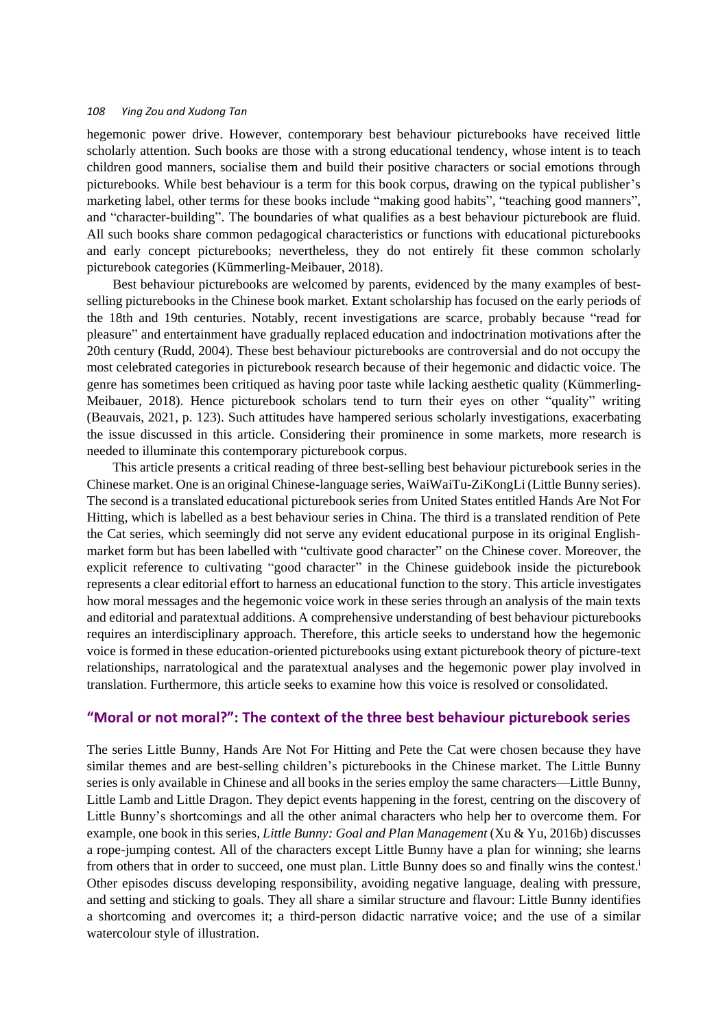hegemonic power drive. However, contemporary best behaviour picturebooks have received little scholarly attention. Such books are those with a strong educational tendency, whose intent is to teach children good manners, socialise them and build their positive characters or social emotions through picturebooks. While best behaviour is a term for this book corpus, drawing on the typical publisher's marketing label, other terms for these books include "making good habits", "teaching good manners", and "character-building". The boundaries of what qualifies as a best behaviour picturebook are fluid. All such books share common pedagogical characteristics or functions with educational picturebooks and early concept picturebooks; nevertheless, they do not entirely fit these common scholarly picturebook categories (Kümmerling-Meibauer, 2018).

Best behaviour picturebooks are welcomed by parents, evidenced by the many examples of bestselling picturebooks in the Chinese book market. Extant scholarship has focused on the early periods of the 18th and 19th centuries. Notably, recent investigations are scarce, probably because "read for pleasure" and entertainment have gradually replaced education and indoctrination motivations after the 20th century (Rudd, 2004). These best behaviour picturebooks are controversial and do not occupy the most celebrated categories in picturebook research because of their hegemonic and didactic voice. The genre has sometimes been critiqued as having poor taste while lacking aesthetic quality (Kümmerling-Meibauer, 2018). Hence picturebook scholars tend to turn their eyes on other "quality" writing (Beauvais, 2021, p. 123). Such attitudes have hampered serious scholarly investigations, exacerbating the issue discussed in this article. Considering their prominence in some markets, more research is needed to illuminate this contemporary picturebook corpus.

This article presents a critical reading of three best-selling best behaviour picturebook series in the Chinese market. One is an original Chinese-language series, WaiWaiTu-ZiKongLi (Little Bunny series). The second is a translated educational picturebook series from United States entitled Hands Are Not For Hitting, which is labelled as a best behaviour series in China. The third is a translated rendition of Pete the Cat series, which seemingly did not serve any evident educational purpose in its original Englishmarket form but has been labelled with "cultivate good character" on the Chinese cover. Moreover, the explicit reference to cultivating "good character" in the Chinese guidebook inside the picturebook represents a clear editorial effort to harness an educational function to the story. This article investigates how moral messages and the hegemonic voice work in these series through an analysis of the main texts and editorial and paratextual additions. A comprehensive understanding of best behaviour picturebooks requires an interdisciplinary approach. Therefore, this article seeks to understand how the hegemonic voice is formed in these education-oriented picturebooks using extant picturebook theory of picture-text relationships, narratological and the paratextual analyses and the hegemonic power play involved in translation. Furthermore, this article seeks to examine how this voice is resolved or consolidated.

## **"Moral or not moral?": The context of the three best behaviour picturebook series**

The series Little Bunny, Hands Are Not For Hitting and Pete the Cat were chosen because they have similar themes and are best-selling children's picturebooks in the Chinese market. The Little Bunny series is only available in Chinese and all books in the series employ the same characters—Little Bunny, Little Lamb and Little Dragon. They depict events happening in the forest, centring on the discovery of Little Bunny's shortcomings and all the other animal characters who help her to overcome them. For example, one book in this series, *Little Bunny: Goal and Plan Management* (Xu & Yu, 2016b) discusses a rope-jumping contest. All of the characters except Little Bunny have a plan for winning; she learns from others that in order to succeed, one must plan. Little Bunny does so and finally wins the contest.<sup>i</sup> Other episodes discuss developing responsibility, avoiding negative language, dealing with pressure, and setting and sticking to goals. They all share a similar structure and flavour: Little Bunny identifies a shortcoming and overcomes it; a third-person didactic narrative voice; and the use of a similar watercolour style of illustration.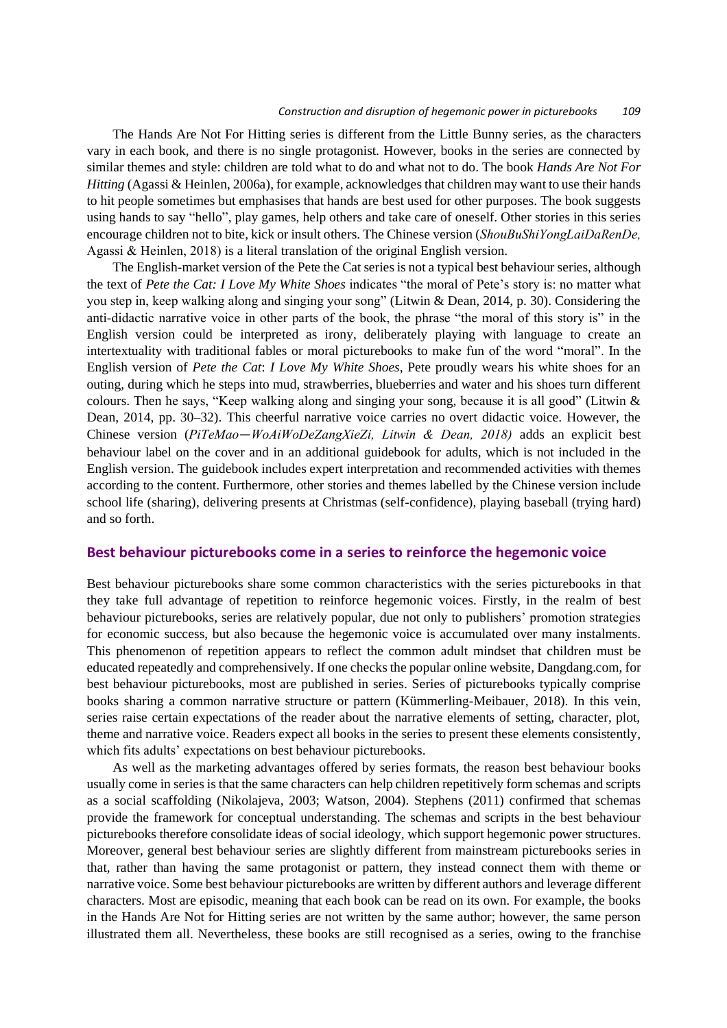#### *Construction and disruption of hegemonic power in picturebooks 109*

The Hands Are Not For Hitting series is different from the Little Bunny series, as the characters vary in each book, and there is no single protagonist. However, books in the series are connected by similar themes and style: children are told what to do and what not to do. The book *Hands Are Not For Hitting* (Agassi & Heinlen, 2006a), for example, acknowledges that children may want to use their hands to hit people sometimes but emphasises that hands are best used for other purposes. The book suggests using hands to say "hello", play games, help others and take care of oneself. Other stories in this series encourage children not to bite, kick or insult others. The Chinese version (*ShouBuShiYongLaiDaRenDe,*  Agassi & Heinlen, 2018) is a literal translation of the original English version.

The English-market version of the Pete the Cat seriesis not a typical best behaviour series, although the text of *Pete the Cat: I Love My White Shoes* indicates "the moral of Pete's story is: no matter what you step in, keep walking along and singing your song" (Litwin & Dean, 2014, p. 30). Considering the anti-didactic narrative voice in other parts of the book, the phrase "the moral of this story is" in the English version could be interpreted as irony, deliberately playing with language to create an intertextuality with traditional fables or moral picturebooks to make fun of the word "moral". In the English version of *Pete the Cat*: *I Love My White Shoes*, Pete proudly wears his white shoes for an outing, during which he steps into mud, strawberries, blueberries and water and his shoes turn different colours. Then he says, "Keep walking along and singing your song, because it is all good" (Litwin & Dean, 2014, pp. 30–32). This cheerful narrative voice carries no overt didactic voice. However, the Chinese version (*PiTeMao—WoAiWoDeZangXieZi, Litwin & Dean, 2018)* adds an explicit best behaviour label on the cover and in an additional guidebook for adults, which is not included in the English version. The guidebook includes expert interpretation and recommended activities with themes according to the content. Furthermore, other stories and themes labelled by the Chinese version include school life (sharing), delivering presents at Christmas (self-confidence), playing baseball (trying hard) and so forth.

## **Best behaviour picturebooks come in a series to reinforce the hegemonic voice**

Best behaviour picturebooks share some common characteristics with the series picturebooks in that they take full advantage of repetition to reinforce hegemonic voices. Firstly, in the realm of best behaviour picturebooks, series are relatively popular, due not only to publishers' promotion strategies for economic success, but also because the hegemonic voice is accumulated over many instalments. This phenomenon of repetition appears to reflect the common adult mindset that children must be educated repeatedly and comprehensively. If one checks the popular online website, Dangdang.com, for best behaviour picturebooks, most are published in series. Series of picturebooks typically comprise books sharing a common narrative structure or pattern (Kümmerling-Meibauer, 2018). In this vein, series raise certain expectations of the reader about the narrative elements of setting, character, plot, theme and narrative voice. Readers expect all books in the series to present these elements consistently, which fits adults' expectations on best behaviour picturebooks.

As well as the marketing advantages offered by series formats, the reason best behaviour books usually come in series is that the same characters can help children repetitively form schemas and scripts as a social scaffolding (Nikolajeva, 2003; Watson, 2004). Stephens (2011) confirmed that schemas provide the framework for conceptual understanding. The schemas and scripts in the best behaviour picturebooks therefore consolidate ideas of social ideology, which support hegemonic power structures. Moreover, general best behaviour series are slightly different from mainstream picturebooks series in that, rather than having the same protagonist or pattern, they instead connect them with theme or narrative voice. Some best behaviour picturebooks are written by different authors and leverage different characters. Most are episodic, meaning that each book can be read on its own. For example, the books in the Hands Are Not for Hitting series are not written by the same author; however, the same person illustrated them all. Nevertheless, these books are still recognised as a series, owing to the franchise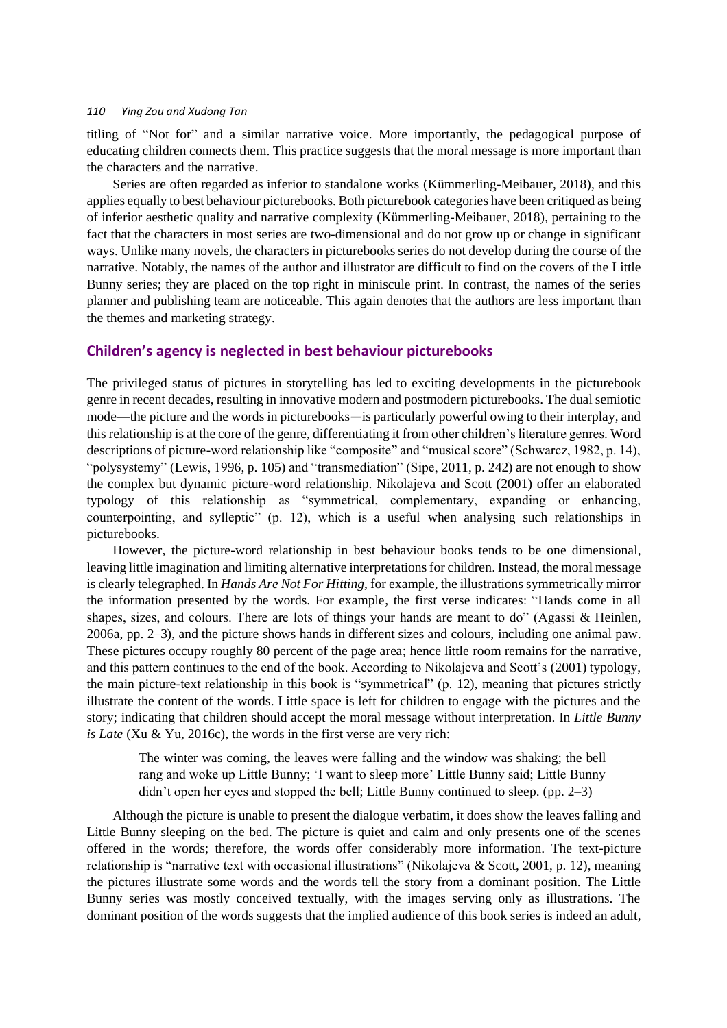titling of "Not for" and a similar narrative voice. More importantly, the pedagogical purpose of educating children connects them. This practice suggests that the moral message is more important than the characters and the narrative.

Series are often regarded as inferior to standalone works (Kümmerling-Meibauer, 2018), and this applies equally to best behaviour picturebooks. Both picturebook categories have been critiqued as being of inferior aesthetic quality and narrative complexity (Kümmerling-Meibauer, 2018), pertaining to the fact that the characters in most series are two-dimensional and do not grow up or change in significant ways. Unlike many novels, the characters in picturebooks series do not develop during the course of the narrative. Notably, the names of the author and illustrator are difficult to find on the covers of the Little Bunny series; they are placed on the top right in miniscule print. In contrast, the names of the series planner and publishing team are noticeable. This again denotes that the authors are less important than the themes and marketing strategy.

## **Children's agency is neglected in best behaviour picturebooks**

The privileged status of pictures in storytelling has led to exciting developments in the picturebook genre in recent decades, resulting in innovative modern and postmodern picturebooks. The dual semiotic mode—the picture and the words in picturebooks—is particularly powerful owing to their interplay, and this relationship is at the core of the genre, differentiating it from other children's literature genres. Word descriptions of picture-word relationship like "composite" and "musical score" (Schwarcz, 1982, p. 14), "polysystemy" (Lewis, 1996, p. 105) and "transmediation" (Sipe, 2011, p. 242) are not enough to show the complex but dynamic picture-word relationship. Nikolajeva and Scott (2001) offer an elaborated typology of this relationship as "symmetrical, complementary, expanding or enhancing, counterpointing, and sylleptic" (p. 12), which is a useful when analysing such relationships in picturebooks.

However, the picture-word relationship in best behaviour books tends to be one dimensional, leaving little imagination and limiting alternative interpretations for children. Instead, the moral message is clearly telegraphed. In *Hands Are Not For Hitting*, for example, the illustrations symmetrically mirror the information presented by the words. For example, the first verse indicates: "Hands come in all shapes, sizes, and colours. There are lots of things your hands are meant to do" (Agassi & Heinlen, 2006a, pp. 2–3), and the picture shows hands in different sizes and colours, including one animal paw. These pictures occupy roughly 80 percent of the page area; hence little room remains for the narrative, and this pattern continues to the end of the book. According to Nikolajeva and Scott's (2001) typology, the main picture-text relationship in this book is "symmetrical" (p. 12), meaning that pictures strictly illustrate the content of the words. Little space is left for children to engage with the pictures and the story; indicating that children should accept the moral message without interpretation. In *Little Bunny is Late* (Xu & Yu, 2016c), the words in the first verse are very rich:

The winter was coming, the leaves were falling and the window was shaking; the bell rang and woke up Little Bunny; 'I want to sleep more' Little Bunny said; Little Bunny didn't open her eyes and stopped the bell; Little Bunny continued to sleep. (pp. 2–3)

Although the picture is unable to present the dialogue verbatim, it does show the leaves falling and Little Bunny sleeping on the bed. The picture is quiet and calm and only presents one of the scenes offered in the words; therefore, the words offer considerably more information. The text-picture relationship is "narrative text with occasional illustrations" (Nikolajeva & Scott, 2001, p. 12), meaning the pictures illustrate some words and the words tell the story from a dominant position. The Little Bunny series was mostly conceived textually, with the images serving only as illustrations. The dominant position of the words suggests that the implied audience of this book series is indeed an adult,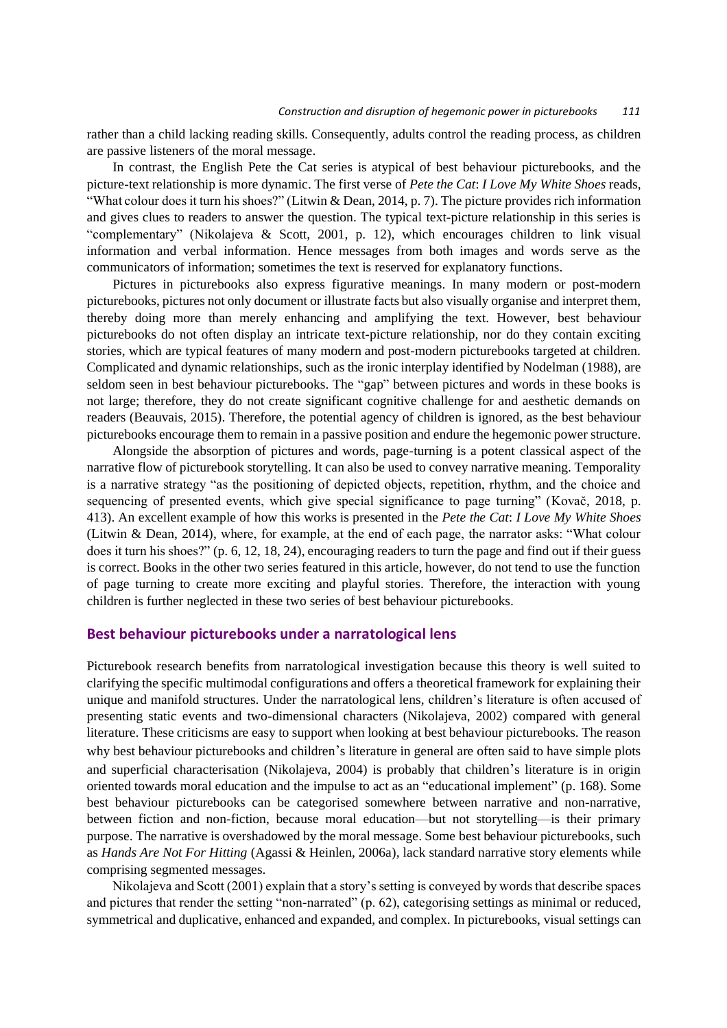rather than a child lacking reading skills. Consequently, adults control the reading process, as children are passive listeners of the moral message.

In contrast, the English Pete the Cat series is atypical of best behaviour picturebooks, and the picture-text relationship is more dynamic. The first verse of *Pete the Cat*: *I Love My White Shoes* reads, "What colour does it turn his shoes?" (Litwin & Dean, 2014, p. 7). The picture provides rich information and gives clues to readers to answer the question. The typical text-picture relationship in this series is "complementary" (Nikolajeva & Scott, 2001, p. 12), which encourages children to link visual information and verbal information. Hence messages from both images and words serve as the communicators of information; sometimes the text is reserved for explanatory functions.

Pictures in picturebooks also express figurative meanings. In many modern or post-modern picturebooks, pictures not only document or illustrate facts but also visually organise and interpret them, thereby doing more than merely enhancing and amplifying the text. However, best behaviour picturebooks do not often display an intricate text-picture relationship, nor do they contain exciting stories, which are typical features of many modern and post-modern picturebooks targeted at children. Complicated and dynamic relationships, such as the ironic interplay identified by Nodelman (1988), are seldom seen in best behaviour picturebooks. The "gap" between pictures and words in these books is not large; therefore, they do not create significant cognitive challenge for and aesthetic demands on readers (Beauvais, 2015). Therefore, the potential agency of children is ignored, as the best behaviour picturebooks encourage them to remain in a passive position and endure the hegemonic power structure.

Alongside the absorption of pictures and words, page-turning is a potent classical aspect of the narrative flow of picturebook storytelling. It can also be used to convey narrative meaning. Temporality is a narrative strategy "as the positioning of depicted objects, repetition, rhythm, and the choice and sequencing of presented events, which give special significance to page turning" (Kovač, 2018, p. 413). An excellent example of how this works is presented in the *Pete the Cat*: *I Love My White Shoes* (Litwin & Dean, 2014), where, for example, at the end of each page, the narrator asks: "What colour does it turn his shoes?" (p. 6, 12, 18, 24), encouraging readers to turn the page and find out if their guess is correct. Books in the other two series featured in this article, however, do not tend to use the function of page turning to create more exciting and playful stories. Therefore, the interaction with young children is further neglected in these two series of best behaviour picturebooks.

## **Best behaviour picturebooks under a narratological lens**

Picturebook research benefits from narratological investigation because this theory is well suited to clarifying the specific multimodal configurations and offers a theoretical framework for explaining their unique and manifold structures. Under the narratological lens, children's literature is often accused of presenting static events and two-dimensional characters (Nikolajeva, 2002) compared with general literature. These criticisms are easy to support when looking at best behaviour picturebooks. The reason why best behaviour picturebooks and children's literature in general are often said to have simple plots and superficial characterisation (Nikolajeva, 2004) is probably that children's literature is in origin oriented towards moral education and the impulse to act as an "educational implement" (p. 168). Some best behaviour picturebooks can be categorised somewhere between narrative and non-narrative, between fiction and non-fiction, because moral education—but not storytelling—is their primary purpose. The narrative is overshadowed by the moral message. Some best behaviour picturebooks, such as *Hands Are Not For Hitting* (Agassi & Heinlen, 2006a)*,* lack standard narrative story elements while comprising segmented messages.

Nikolajeva and Scott (2001) explain that a story's setting is conveyed by words that describe spaces and pictures that render the setting "non-narrated" (p. 62), categorising settings as minimal or reduced, symmetrical and duplicative, enhanced and expanded, and complex. In picturebooks, visual settings can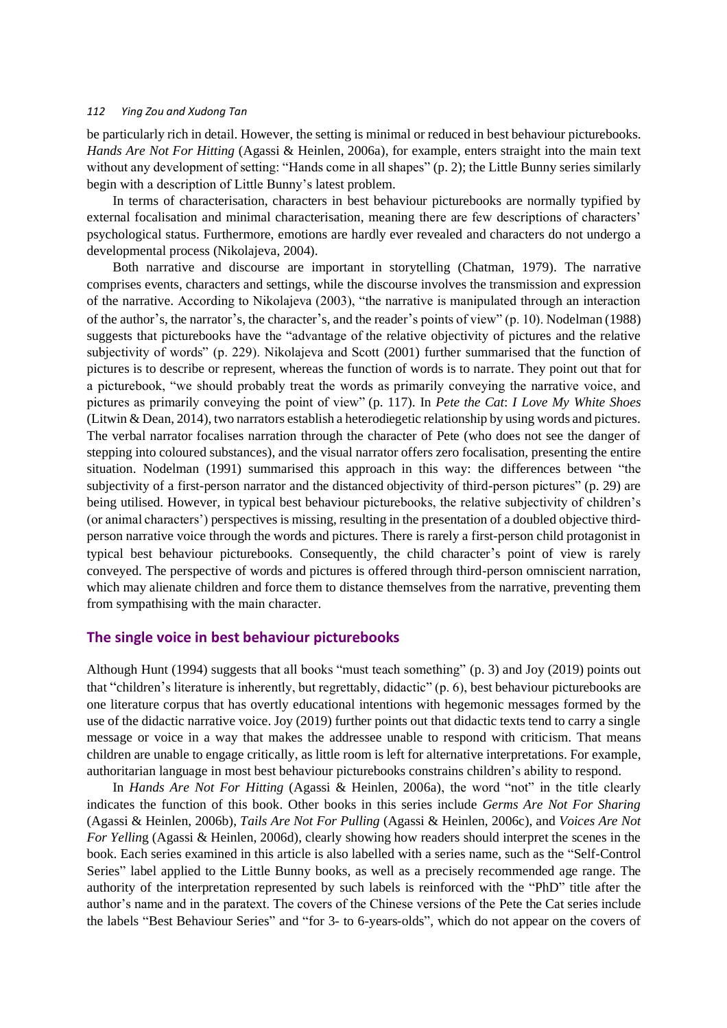be particularly rich in detail. However, the setting is minimal or reduced in best behaviour picturebooks. *Hands Are Not For Hitting* (Agassi & Heinlen, 2006a), for example, enters straight into the main text without any development of setting: "Hands come in all shapes" (p. 2); the Little Bunny series similarly begin with a description of Little Bunny's latest problem.

In terms of characterisation, characters in best behaviour picturebooks are normally typified by external focalisation and minimal characterisation, meaning there are few descriptions of characters' psychological status. Furthermore, emotions are hardly ever revealed and characters do not undergo a developmental process (Nikolajeva, 2004).

Both narrative and discourse are important in storytelling (Chatman, 1979). The narrative comprises events, characters and settings, while the discourse involves the transmission and expression of the narrative. According to Nikolajeva (2003), "the narrative is manipulated through an interaction of the author's, the narrator's, the character's, and the reader's points of view" (p. 10). Nodelman (1988) suggests that picturebooks have the "advantage of the relative objectivity of pictures and the relative subjectivity of words" (p. 229). Nikolajeva and Scott (2001) further summarised that the function of pictures is to describe or represent, whereas the function of words is to narrate. They point out that for a picturebook, "we should probably treat the words as primarily conveying the narrative voice, and pictures as primarily conveying the point of view" (p. 117). In *Pete the Cat*: *I Love My White Shoes* (Litwin & Dean, 2014), two narrators establish a heterodiegetic relationship by using words and pictures. The verbal narrator focalises narration through the character of Pete (who does not see the danger of stepping into coloured substances), and the visual narrator offers zero focalisation, presenting the entire situation. Nodelman (1991) summarised this approach in this way: the differences between "the subjectivity of a first-person narrator and the distanced objectivity of third-person pictures" (p. 29) are being utilised. However, in typical best behaviour picturebooks, the relative subjectivity of children's (or animal characters') perspectives is missing, resulting in the presentation of a doubled objective thirdperson narrative voice through the words and pictures. There is rarely a first-person child protagonist in typical best behaviour picturebooks. Consequently, the child character's point of view is rarely conveyed. The perspective of words and pictures is offered through third-person omniscient narration, which may alienate children and force them to distance themselves from the narrative, preventing them from sympathising with the main character.

## **The single voice in best behaviour picturebooks**

Although Hunt (1994) suggests that all books "must teach something" (p. 3) and Joy (2019) points out that "children's literature is inherently, but regrettably, didactic" (p. 6), best behaviour picturebooks are one literature corpus that has overtly educational intentions with hegemonic messages formed by the use of the didactic narrative voice. Joy (2019) further points out that didactic texts tend to carry a single message or voice in a way that makes the addressee unable to respond with criticism. That means children are unable to engage critically, as little room is left for alternative interpretations. For example, authoritarian language in most best behaviour picturebooks constrains children's ability to respond.

In *Hands Are Not For Hitting* (Agassi & Heinlen, 2006a), the word "not" in the title clearly indicates the function of this book. Other books in this series include *Germs Are Not For Sharing* (Agassi & Heinlen, 2006b), *Tails Are Not For Pulling* (Agassi & Heinlen, 2006c), and *Voices Are Not For Yellin*g (Agassi & Heinlen, 2006d), clearly showing how readers should interpret the scenes in the book. Each series examined in this article is also labelled with a series name, such as the "Self-Control Series" label applied to the Little Bunny books, as well as a precisely recommended age range. The authority of the interpretation represented by such labels is reinforced with the "PhD" title after the author's name and in the paratext. The covers of the Chinese versions of the Pete the Cat series include the labels "Best Behaviour Series" and "for 3- to 6-years-olds", which do not appear on the covers of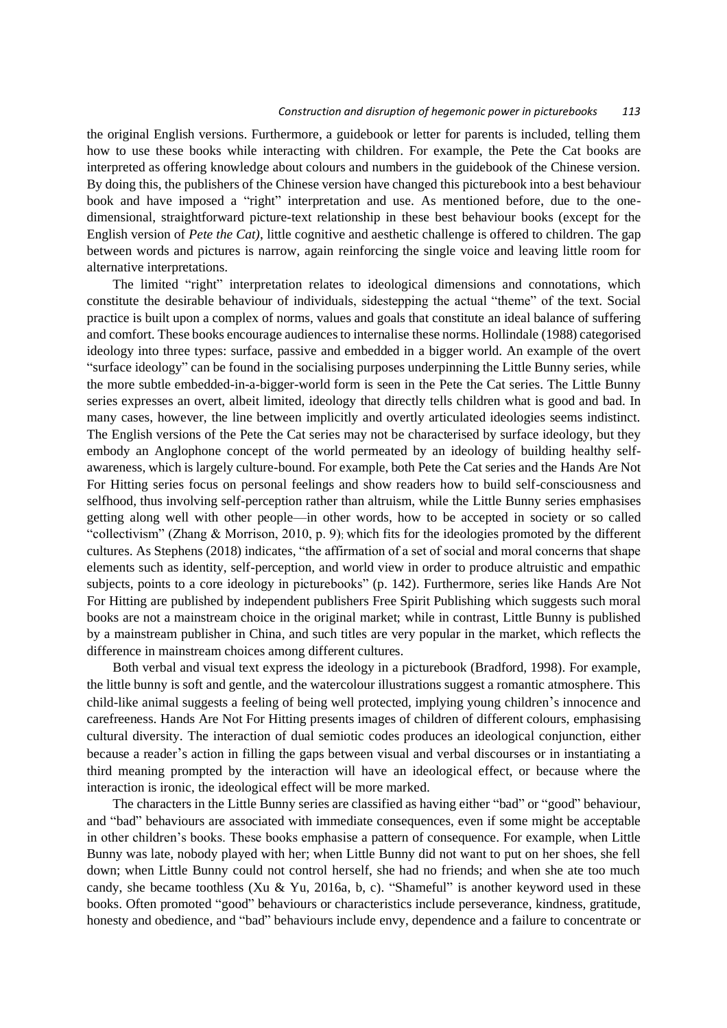#### *Construction and disruption of hegemonic power in picturebooks 113*

the original English versions. Furthermore, a guidebook or letter for parents is included, telling them how to use these books while interacting with children. For example, the Pete the Cat books are interpreted as offering knowledge about colours and numbers in the guidebook of the Chinese version. By doing this, the publishers of the Chinese version have changed this picturebook into a best behaviour book and have imposed a "right" interpretation and use. As mentioned before, due to the onedimensional, straightforward picture-text relationship in these best behaviour books (except for the English version of *Pete the Cat)*, little cognitive and aesthetic challenge is offered to children. The gap between words and pictures is narrow, again reinforcing the single voice and leaving little room for alternative interpretations.

The limited "right" interpretation relates to ideological dimensions and connotations, which constitute the desirable behaviour of individuals, sidestepping the actual "theme" of the text. Social practice is built upon a complex of norms, values and goals that constitute an ideal balance of suffering and comfort. These books encourage audiences to internalise these norms. Hollindale (1988) categorised ideology into three types: surface, passive and embedded in a bigger world. An example of the overt "surface ideology" can be found in the socialising purposes underpinning the Little Bunny series, while the more subtle embedded-in-a-bigger-world form is seen in the Pete the Cat series. The Little Bunny series expresses an overt, albeit limited, ideology that directly tells children what is good and bad. In many cases, however, the line between implicitly and overtly articulated ideologies seems indistinct. The English versions of the Pete the Cat series may not be characterised by surface ideology, but they embody an Anglophone concept of the world permeated by an ideology of building healthy selfawareness, which is largely culture-bound. For example, both Pete the Cat series and the Hands Are Not For Hitting series focus on personal feelings and show readers how to build self-consciousness and selfhood, thus involving self-perception rather than altruism, while the Little Bunny series emphasises getting along well with other people—in other words, how to be accepted in society or so called "collectivism" (Zhang & Morrison, 2010, p. 9); which fits for the ideologies promoted by the different cultures. As Stephens (2018) indicates, "the affirmation of a set of social and moral concerns that shape elements such as identity, self-perception, and world view in order to produce altruistic and empathic subjects, points to a core ideology in picturebooks" (p. 142). Furthermore, series like Hands Are Not For Hitting are published by independent publishers Free Spirit Publishing which suggests such moral books are not a mainstream choice in the original market; while in contrast, Little Bunny is published by a mainstream publisher in China, and such titles are very popular in the market, which reflects the difference in mainstream choices among different cultures.

Both verbal and visual text express the ideology in a picturebook (Bradford, 1998). For example, the little bunny is soft and gentle, and the watercolour illustrations suggest a romantic atmosphere. This child-like animal suggests a feeling of being well protected, implying young children's innocence and carefreeness. Hands Are Not For Hitting presents images of children of different colours, emphasising cultural diversity. The interaction of dual semiotic codes produces an ideological conjunction, either because a reader's action in filling the gaps between visual and verbal discourses or in instantiating a third meaning prompted by the interaction will have an ideological effect, or because where the interaction is ironic, the ideological effect will be more marked.

The characters in the Little Bunny series are classified as having either "bad" or "good" behaviour, and "bad" behaviours are associated with immediate consequences, even if some might be acceptable in other children's books. These books emphasise a pattern of consequence. For example, when Little Bunny was late, nobody played with her; when Little Bunny did not want to put on her shoes, she fell down; when Little Bunny could not control herself, she had no friends; and when she ate too much candy, she became toothless (Xu & Yu, 2016a, b, c). "Shameful" is another keyword used in these books. Often promoted "good" behaviours or characteristics include perseverance, kindness, gratitude, honesty and obedience, and "bad" behaviours include envy, dependence and a failure to concentrate or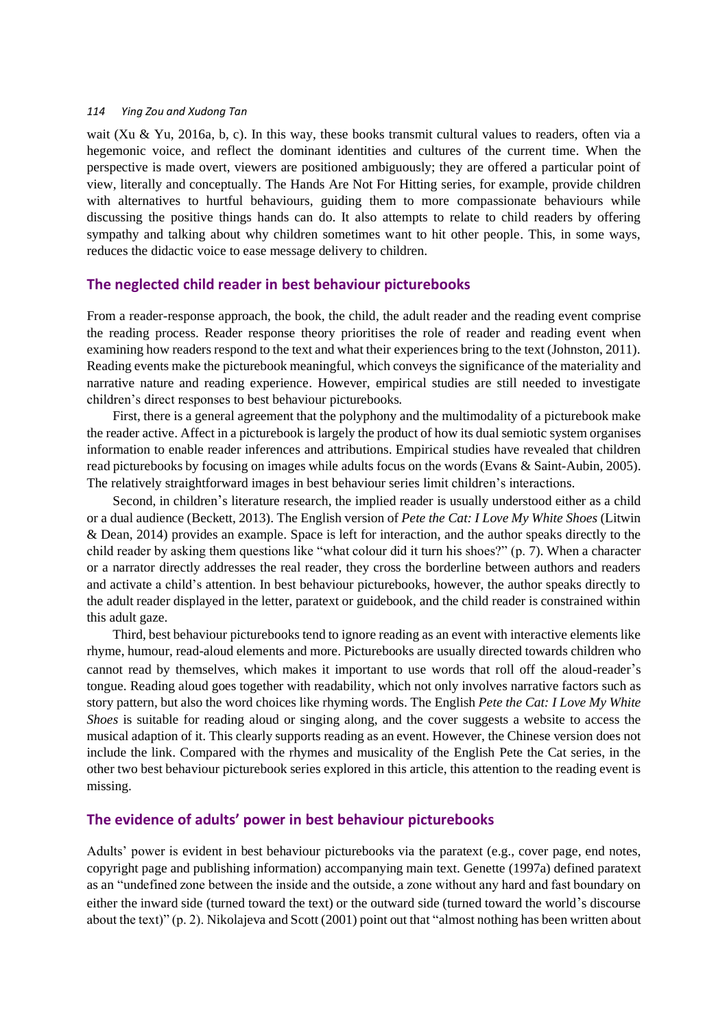wait (Xu & Yu, 2016a, b, c). In this way, these books transmit cultural values to readers, often via a hegemonic voice, and reflect the dominant identities and cultures of the current time. When the perspective is made overt, viewers are positioned ambiguously; they are offered a particular point of view, literally and conceptually. The Hands Are Not For Hitting series*,* for example, provide children with alternatives to hurtful behaviours, guiding them to more compassionate behaviours while discussing the positive things hands can do. It also attempts to relate to child readers by offering sympathy and talking about why children sometimes want to hit other people. This, in some ways, reduces the didactic voice to ease message delivery to children.

## **The neglected child reader in best behaviour picturebooks**

From a reader-response approach, the book, the child, the adult reader and the reading event comprise the reading process. Reader response theory prioritises the role of reader and reading event when examining how readers respond to the text and what their experiences bring to the text (Johnston, 2011). Reading events make the picturebook meaningful, which conveys the significance of the materiality and narrative nature and reading experience. However, empirical studies are still needed to investigate children's direct responses to best behaviour picturebooks.

First, there is a general agreement that the polyphony and the multimodality of a picturebook make the reader active. Affect in a picturebook is largely the product of how its dual semiotic system organises information to enable reader inferences and attributions. Empirical studies have revealed that children read picturebooks by focusing on images while adults focus on the words (Evans & Saint-Aubin, 2005). The relatively straightforward images in best behaviour series limit children's interactions.

Second, in children's literature research, the implied reader is usually understood either as a child or a dual audience (Beckett, 2013). The English version of *Pete the Cat: I Love My White Shoes* (Litwin & Dean, 2014) provides an example. Space is left for interaction, and the author speaks directly to the child reader by asking them questions like "what colour did it turn his shoes?" (p. 7). When a character or a narrator directly addresses the real reader, they cross the borderline between authors and readers and activate a child's attention. In best behaviour picturebooks, however, the author speaks directly to the adult reader displayed in the letter, paratext or guidebook, and the child reader is constrained within this adult gaze.

Third, best behaviour picturebooks tend to ignore reading as an event with interactive elements like rhyme, humour, read-aloud elements and more. Picturebooks are usually directed towards children who cannot read by themselves, which makes it important to use words that roll off the aloud-reader's tongue. Reading aloud goes together with readability, which not only involves narrative factors such as story pattern, but also the word choices like rhyming words. The English *Pete the Cat: I Love My White Shoes* is suitable for reading aloud or singing along, and the cover suggests a website to access the musical adaption of it. This clearly supports reading as an event. However, the Chinese version does not include the link. Compared with the rhymes and musicality of the English Pete the Cat series, in the other two best behaviour picturebook series explored in this article, this attention to the reading event is missing.

# **The evidence of adults' power in best behaviour picturebooks**

Adults' power is evident in best behaviour picturebooks via the paratext (e.g., cover page, end notes, copyright page and publishing information) accompanying main text. Genette (1997a) defined paratext as an "undefined zone between the inside and the outside, a zone without any hard and fast boundary on either the inward side (turned toward the text) or the outward side (turned toward the world's discourse about the text)" (p. 2). Nikolajeva and Scott (2001) point out that "almost nothing has been written about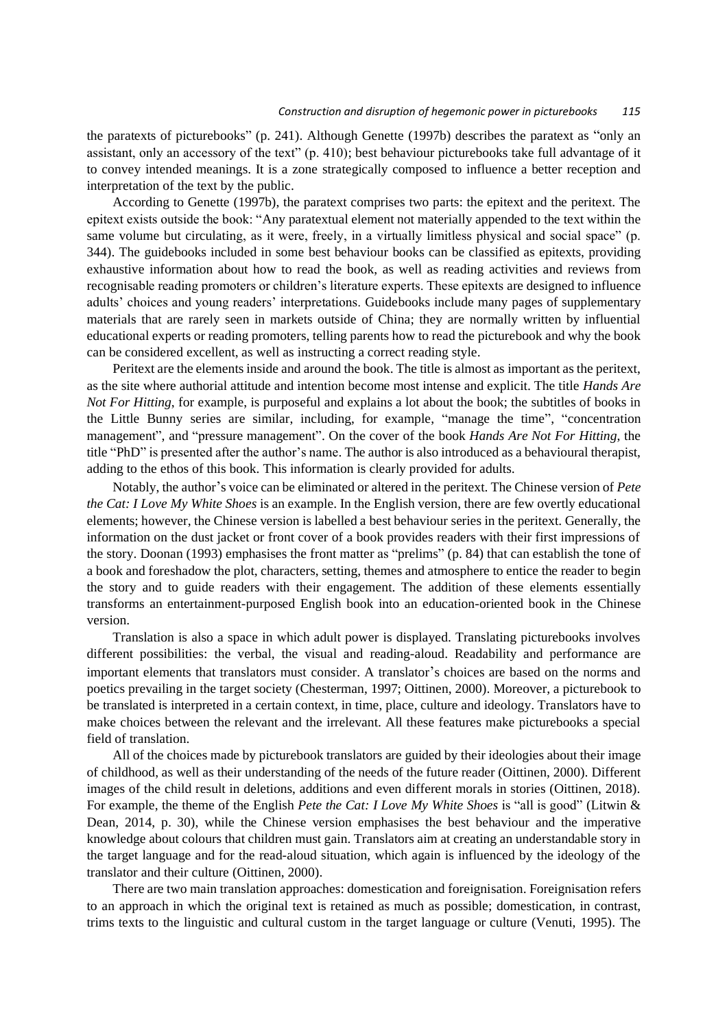the paratexts of picturebooks" (p. 241). Although Genette (1997b) describes the paratext as "only an assistant, only an accessory of the text" (p. 410); best behaviour picturebooks take full advantage of it to convey intended meanings. It is a zone strategically composed to influence a better reception and interpretation of the text by the public.

According to Genette (1997b), the paratext comprises two parts: the epitext and the peritext. The epitext exists outside the book: "Any paratextual element not materially appended to the text within the same volume but circulating, as it were, freely, in a virtually limitless physical and social space" (p. 344). The guidebooks included in some best behaviour books can be classified as epitexts, providing exhaustive information about how to read the book, as well as reading activities and reviews from recognisable reading promoters or children's literature experts. These epitexts are designed to influence adults' choices and young readers' interpretations. Guidebooks include many pages of supplementary materials that are rarely seen in markets outside of China; they are normally written by influential educational experts or reading promoters, telling parents how to read the picturebook and why the book can be considered excellent, as well as instructing a correct reading style.

Peritext are the elements inside and around the book. The title is almost as important as the peritext, as the site where authorial attitude and intention become most intense and explicit. The title *Hands Are Not For Hitting*, for example, is purposeful and explains a lot about the book; the subtitles of books in the Little Bunny series are similar, including, for example, "manage the time", "concentration management", and "pressure management". On the cover of the book *Hands Are Not For Hitting*, the title "PhD" is presented after the author's name. The author is also introduced as a behavioural therapist, adding to the ethos of this book. This information is clearly provided for adults.

Notably, the author's voice can be eliminated or altered in the peritext. The Chinese version of *Pete the Cat: I Love My White Shoes* is an example. In the English version, there are few overtly educational elements; however, the Chinese version is labelled a best behaviour series in the peritext. Generally, the information on the dust jacket or front cover of a book provides readers with their first impressions of the story. Doonan (1993) emphasises the front matter as "prelims" (p. 84) that can establish the tone of a book and foreshadow the plot, characters, setting, themes and atmosphere to entice the reader to begin the story and to guide readers with their engagement. The addition of these elements essentially transforms an entertainment-purposed English book into an education-oriented book in the Chinese version.

Translation is also a space in which adult power is displayed. Translating picturebooks involves different possibilities: the verbal, the visual and reading-aloud. Readability and performance are important elements that translators must consider. A translator's choices are based on the norms and poetics prevailing in the target society (Chesterman, 1997; Oittinen, 2000). Moreover, a picturebook to be translated is interpreted in a certain context, in time, place, culture and ideology. Translators have to make choices between the relevant and the irrelevant. All these features make picturebooks a special field of translation.

All of the choices made by picturebook translators are guided by their ideologies about their image of childhood, as well as their understanding of the needs of the future reader (Oittinen, 2000). Different images of the child result in deletions, additions and even different morals in stories (Oittinen, 2018). For example, the theme of the English *Pete the Cat: I Love My White Shoes* is "all is good" (Litwin & Dean, 2014, p. 30), while the Chinese version emphasises the best behaviour and the imperative knowledge about colours that children must gain. Translators aim at creating an understandable story in the target language and for the read-aloud situation, which again is influenced by the ideology of the translator and their culture (Oittinen, 2000).

There are two main translation approaches: domestication and foreignisation. Foreignisation refers to an approach in which the original text is retained as much as possible; domestication, in contrast, trims texts to the linguistic and cultural custom in the target language or culture (Venuti, 1995). The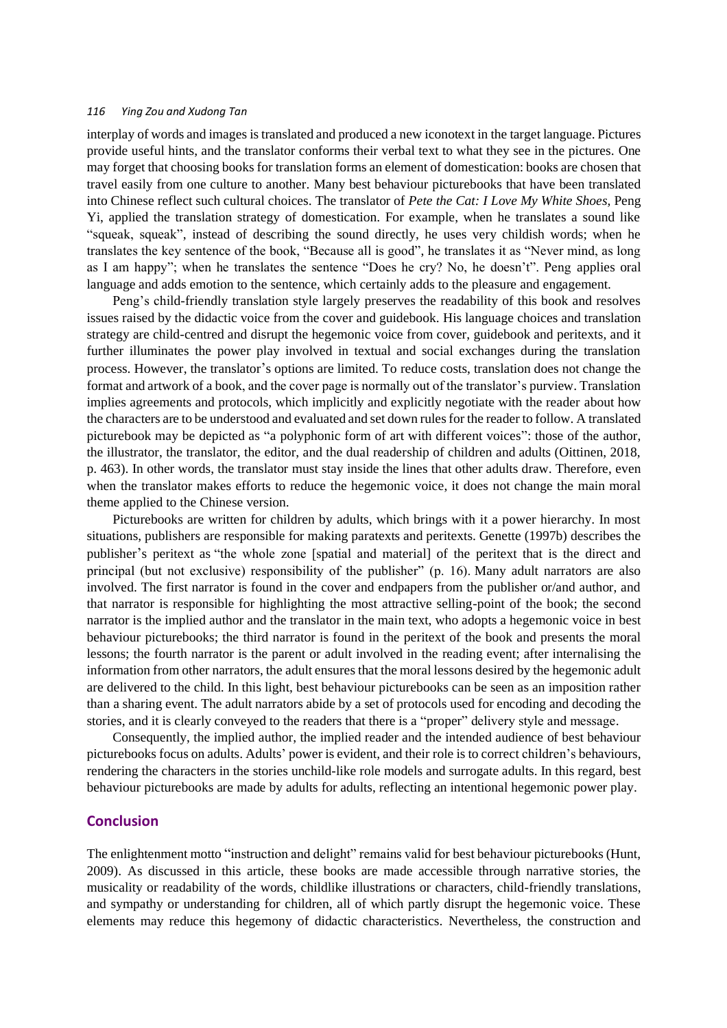interplay of words and images is translated and produced a new iconotext in the target language. Pictures provide useful hints, and the translator conforms their verbal text to what they see in the pictures. One may forget that choosing books for translation forms an element of domestication: books are chosen that travel easily from one culture to another. Many best behaviour picturebooks that have been translated into Chinese reflect such cultural choices. The translator of *Pete the Cat: I Love My White Shoes,* Peng Yi, applied the translation strategy of domestication. For example, when he translates a sound like "squeak, squeak", instead of describing the sound directly, he uses very childish words; when he translates the key sentence of the book, "Because all is good", he translates it as "Never mind, as long as I am happy"; when he translates the sentence "Does he cry? No, he doesn't". Peng applies oral language and adds emotion to the sentence, which certainly adds to the pleasure and engagement.

Peng's child-friendly translation style largely preserves the readability of this book and resolves issues raised by the didactic voice from the cover and guidebook. His language choices and translation strategy are child-centred and disrupt the hegemonic voice from cover, guidebook and peritexts, and it further illuminates the power play involved in textual and social exchanges during the translation process. However, the translator's options are limited. To reduce costs, translation does not change the format and artwork of a book, and the cover page is normally out of the translator's purview. Translation implies agreements and protocols, which implicitly and explicitly negotiate with the reader about how the characters are to be understood and evaluated and set down rules for the reader to follow. A translated picturebook may be depicted as "a polyphonic form of art with different voices": those of the author, the illustrator, the translator, the editor, and the dual readership of children and adults (Oittinen, 2018, p. 463). In other words, the translator must stay inside the lines that other adults draw. Therefore, even when the translator makes efforts to reduce the hegemonic voice, it does not change the main moral theme applied to the Chinese version.

Picturebooks are written for children by adults, which brings with it a power hierarchy. In most situations, publishers are responsible for making paratexts and peritexts. Genette (1997b) describes the publisher's peritext as "the whole zone [spatial and material] of the peritext that is the direct and principal (but not exclusive) responsibility of the publisher" (p. 16). Many adult narrators are also involved. The first narrator is found in the cover and endpapers from the publisher or/and author, and that narrator is responsible for highlighting the most attractive selling-point of the book; the second narrator is the implied author and the translator in the main text, who adopts a hegemonic voice in best behaviour picturebooks; the third narrator is found in the peritext of the book and presents the moral lessons; the fourth narrator is the parent or adult involved in the reading event; after internalising the information from other narrators, the adult ensures that the moral lessons desired by the hegemonic adult are delivered to the child. In this light, best behaviour picturebooks can be seen as an imposition rather than a sharing event. The adult narrators abide by a set of protocols used for encoding and decoding the stories, and it is clearly conveyed to the readers that there is a "proper" delivery style and message.

Consequently, the implied author, the implied reader and the intended audience of best behaviour picturebooks focus on adults. Adults' power is evident, and their role is to correct children's behaviours, rendering the characters in the stories unchild-like role models and surrogate adults. In this regard, best behaviour picturebooks are made by adults for adults, reflecting an intentional hegemonic power play.

## **Conclusion**

The enlightenment motto "instruction and delight" remains valid for best behaviour picturebooks (Hunt, 2009). As discussed in this article, these books are made accessible through narrative stories, the musicality or readability of the words, childlike illustrations or characters, child-friendly translations, and sympathy or understanding for children, all of which partly disrupt the hegemonic voice. These elements may reduce this hegemony of didactic characteristics. Nevertheless, the construction and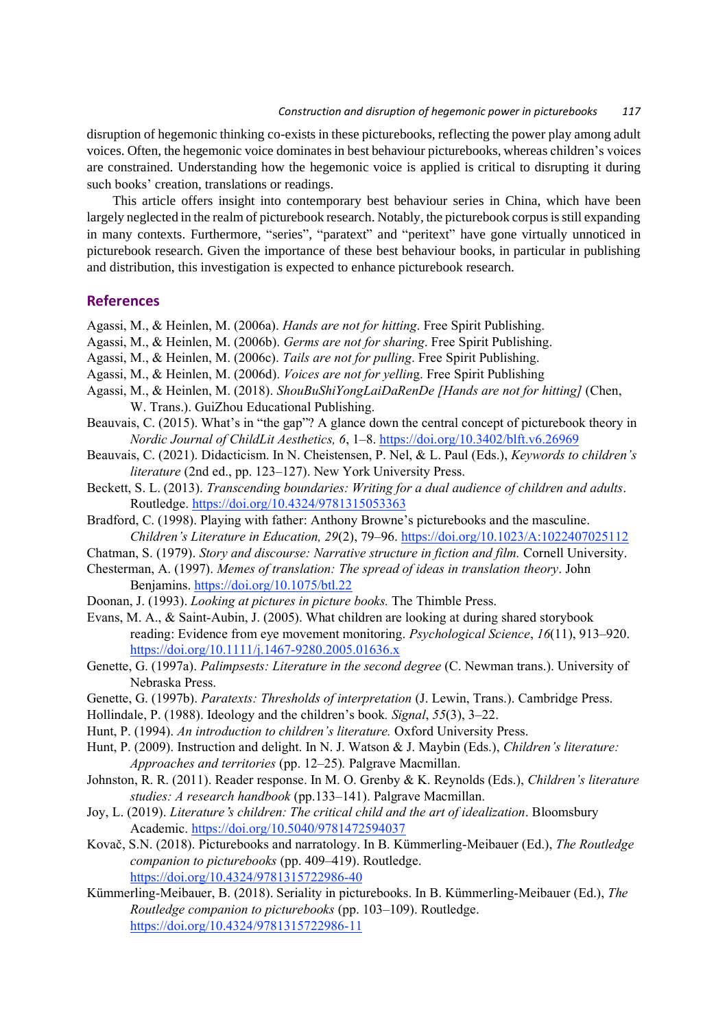#### *Construction and disruption of hegemonic power in picturebooks 117*

disruption of hegemonic thinking co-exists in these picturebooks, reflecting the power play among adult voices. Often, the hegemonic voice dominates in best behaviour picturebooks, whereas children's voices are constrained. Understanding how the hegemonic voice is applied is critical to disrupting it during such books' creation, translations or readings.

This article offers insight into contemporary best behaviour series in China, which have been largely neglected in the realm of picturebook research. Notably, the picturebook corpus is still expanding in many contexts. Furthermore, "series", "paratext" and "peritext" have gone virtually unnoticed in picturebook research. Given the importance of these best behaviour books, in particular in publishing and distribution, this investigation is expected to enhance picturebook research.

# **References**

- Agassi, M., & Heinlen, M. (2006a). *Hands are not for hitting*. Free Spirit Publishing.
- Agassi, M., & Heinlen, M. (2006b). *Germs are not for sharing*. Free Spirit Publishing.
- Agassi, M., & Heinlen, M. (2006c). *Tails are not for pulling*. Free Spirit Publishing.
- Agassi, M., & Heinlen, M. (2006d). *Voices are not for yellin*g. Free Spirit Publishing
- Agassi, M., & Heinlen, M. (2018). *ShouBuShiYongLaiDaRenDe [Hands are not for hitting]* (Chen, W. Trans.). GuiZhou Educational Publishing.
- Beauvais, C. (2015). What's in "the gap"? A glance down the central concept of picturebook theory in *Nordic Journal of ChildLit Aesthetics, 6*, 1–8. <https://doi.org/10.3402/blft.v6.26969>
- Beauvais, C. (2021). Didacticism. In N. Cheistensen, P. Nel, & L. Paul (Eds.), *Keywords to children's literature* (2nd ed., pp. 123–127). New York University Press.
- Beckett, S. L. (2013). *Transcending boundaries: Writing for a dual audience of children and adults*. Routledge.<https://doi.org/10.4324/9781315053363>
- Bradford, C. (1998). Playing with father: Anthony Browne's picturebooks and the masculine. *Children's Literature in Education, 29*(2), 79–96. <https://doi.org/10.1023/A:1022407025112>
- Chatman, S. (1979). *Story and discourse: Narrative structure in fiction and film.* Cornell University. Chesterman, A. (1997). *Memes of translation: The spread of ideas in translation theory*. John
- Benjamins.<https://doi.org/10.1075/btl.22>
- Doonan, J. (1993). *Looking at pictures in picture books.* The Thimble Press.
- Evans, M. A., & Saint-Aubin, J. (2005). What children are looking at during shared storybook reading: Evidence from eye movement monitoring. *Psychological Science*, *16*(11), 913–920. <https://doi.org/10.1111/j.1467-9280.2005.01636.x>
- Genette, G. (1997a). *Palimpsests: Literature in the second degree* (C. Newman trans.). University of Nebraska Press.
- Genette, G. (1997b). *Paratexts: Thresholds of interpretation* (J. Lewin, Trans.). Cambridge Press.
- Hollindale, P. (1988). Ideology and the children's book*. Signal*, *55*(3), 3–22.
- Hunt, P. (1994). *An introduction to children's literature.* Oxford University Press.
- Hunt, P. (2009). Instruction and delight. In N. J. Watson & J. Maybin (Eds.), *Children's literature: Approaches and territories* (pp. 12–25)*.* Palgrave Macmillan.
- Johnston, R. R. (2011). Reader response. In M. O. Grenby & K. Reynolds (Eds.), *Children's literature studies: A research handbook* (pp.133–141). Palgrave Macmillan.
- Joy, L. (2019). *Literature*'*s children: The critical child and the art of idealization*. Bloomsbury Academic[. https://doi.org/10.5040/9781472594037](https://doi.org/10.5040/9781472594037)
- Kovač, S.N. (2018). Picturebooks and narratology. In B. Kümmerling-Meibauer (Ed.), *The Routledge companion to picturebooks* (pp. 409–419). Routledge. <https://doi.org/10.4324/9781315722986-40>
- Kümmerling-Meibauer, B. (2018). Seriality in picturebooks. In B. Kümmerling-Meibauer (Ed.), *The Routledge companion to picturebooks* (pp. 103–109). Routledge. <https://doi.org/10.4324/9781315722986-11>